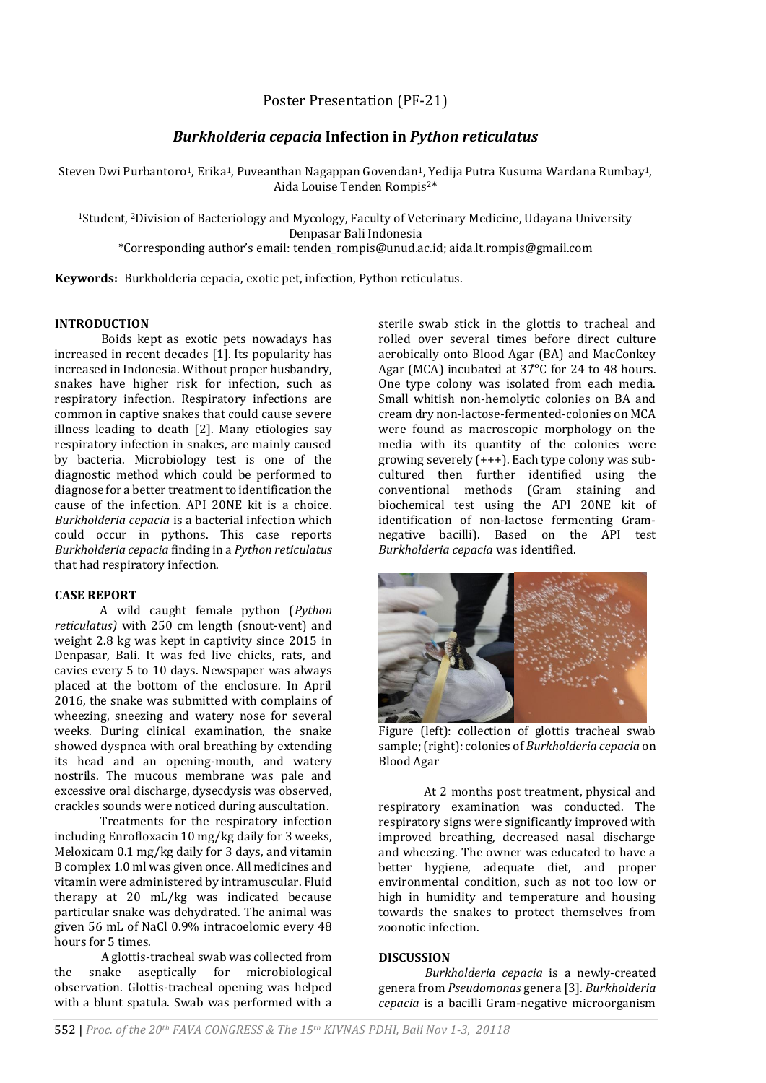Poster Presentation (PF-21)

# *Burkholderia cepacia* **Infection in** *Python reticulatus*

Steven Dwi Purbantoro<sup>1</sup>, Erika<sup>1</sup>, Puveanthan Nagappan Govendan<sup>1</sup>, Yedija Putra Kusuma Wardana Rumbay<sup>1</sup>, Aida Louise Tenden Rompis2\*

<sup>1</sup>Student, <sup>2</sup>Division of Bacteriology and Mycology, Faculty of Veterinary Medicine, Udayana University Denpasar Bali Indonesia

\*Corresponding author's email: tenden\_rompis@unud.ac.id[; aida.lt.rompis@gmail.com](mailto:aida.lt.rompis@gmail.com)

**Keywords:** Burkholderia cepacia, exotic pet, infection, Python reticulatus.

#### **INTRODUCTION**

Boids kept as exotic pets nowadays has increased in recent decades [1]. Its popularity has increased in Indonesia. Without proper husbandry, snakes have higher risk for infection, such as respiratory infection. Respiratory infections are common in captive snakes that could cause severe illness leading to death [2]. Many etiologies say respiratory infection in snakes, are mainly caused by bacteria. Microbiology test is one of the diagnostic method which could be performed to diagnose for a better treatment to identification the cause of the infection. API 20NE kit is a choice. *Burkholderia cepacia* is a bacterial infection which could occur in pythons. This case reports *Burkholderia cepacia* finding in a *Python reticulatus* that had respiratory infection.

#### **CASE REPORT**

A wild caught female python (*Python reticulatus)* with 250 cm length (snout-vent) and weight 2.8 kg was kept in captivity since 2015 in Denpasar, Bali. It was fed live chicks, rats, and cavies every 5 to 10 days. Newspaper was always placed at the bottom of the enclosure. In April 2016, the snake was submitted with complains of wheezing, sneezing and watery nose for several weeks. During clinical examination, the snake showed dyspnea with oral breathing by extending its head and an opening-mouth, and watery nostrils. The mucous membrane was pale and excessive oral discharge, dysecdysis was observed, crackles sounds were noticed during auscultation.

Treatments for the respiratory infection including Enrofloxacin 10 mg/kg daily for 3 weeks, Meloxicam 0.1 mg/kg daily for 3 days, and vitamin B complex 1.0 ml was given once. All medicines and vitamin were administered by intramuscular. Fluid therapy at 20 mL/kg was indicated because particular snake was dehydrated. The animal was given 56 mL of NaCl 0.9% intracoelomic every 48 hours for 5 times.

A glottis-tracheal swab was collected from the snake aseptically for microbiological observation. Glottis-tracheal opening was helped with a blunt spatula. Swab was performed with a sterile swab stick in the glottis to tracheal and rolled over several times before direct culture aerobically onto Blood Agar (BA) and MacConkey Agar (MCA) incubated at 37°C for 24 to 48 hours. One type colony was isolated from each media. Small whitish non-hemolytic colonies on BA and cream dry non-lactose-fermented-colonies on MCA were found as macroscopic morphology on the media with its quantity of the colonies were growing severely (+++). Each type colony was subcultured then further identified using the conventional methods (Gram staining and biochemical test using the API 20NE kit of identification of non-lactose fermenting Gramnegative bacilli). Based on the API test *Burkholderia cepacia* was identified.



Figure (left): collection of glottis tracheal swab sample; (right): colonies of *Burkholderia cepacia* on Blood Agar

At 2 months post treatment, physical and respiratory examination was conducted. The respiratory signs were significantly improved with improved breathing, decreased nasal discharge and wheezing. The owner was educated to have a better hygiene, adequate diet, and proper environmental condition, such as not too low or high in humidity and temperature and housing towards the snakes to protect themselves from zoonotic infection.

## **DISCUSSION**

*Burkholderia cepacia* is a newly-created genera from *Pseudomonas* genera [3]. *Burkholderia cepacia* is a bacilli Gram-negative microorganism